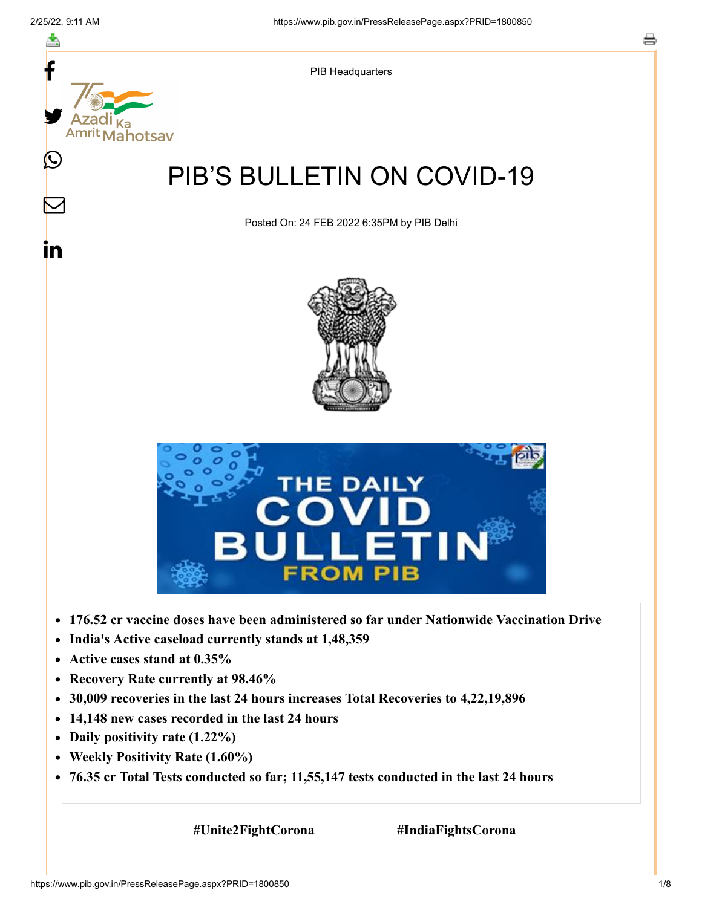

- **Recovery Rate currently at 98.46%**  $\bullet$
- **30,009 recoveries in the last 24 hours increases Total Recoveries to 4,22,19,896**  $\bullet$
- **14,148 new cases recorded in the last 24 hours**  $\bullet$
- **Daily positivity rate (1.22%)**
- **Weekly Positivity Rate (1.60%)**  $\bullet$
- **76.35 cr Total Tests conducted so far; 11,55,147 tests conducted in the last 24 hours**  $\bullet$

 **#Unite2FightCorona #IndiaFightsCorona**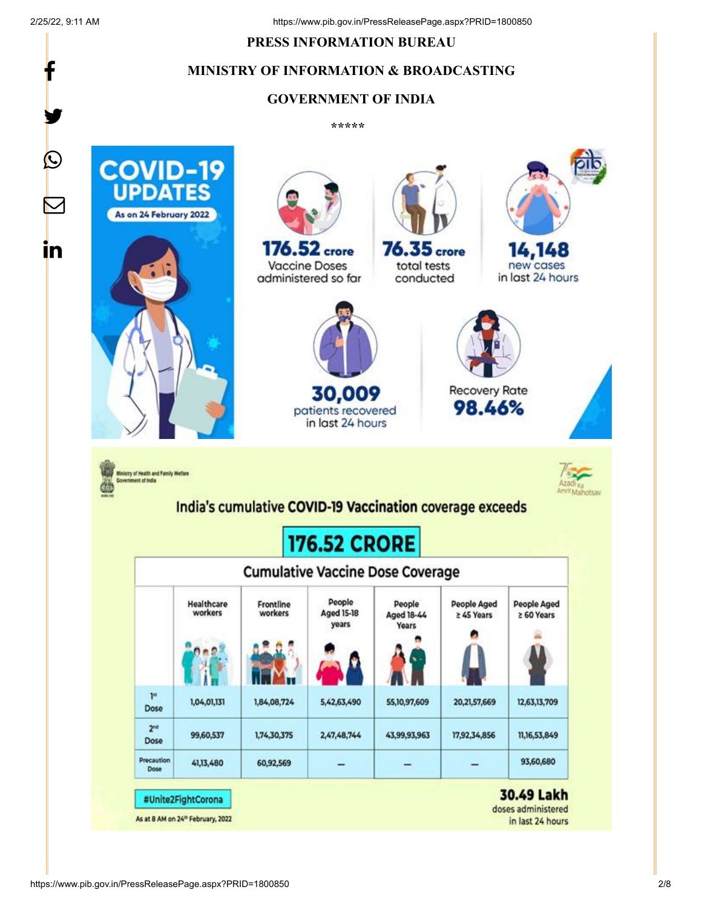f

y.

#### **PRESS INFORMATION BUREAU**

# **MINISTRY OF INFORMATION & BROADCASTING**

### **GOVERNMENT OF INDIA**

**\*\*\*\*\*** 

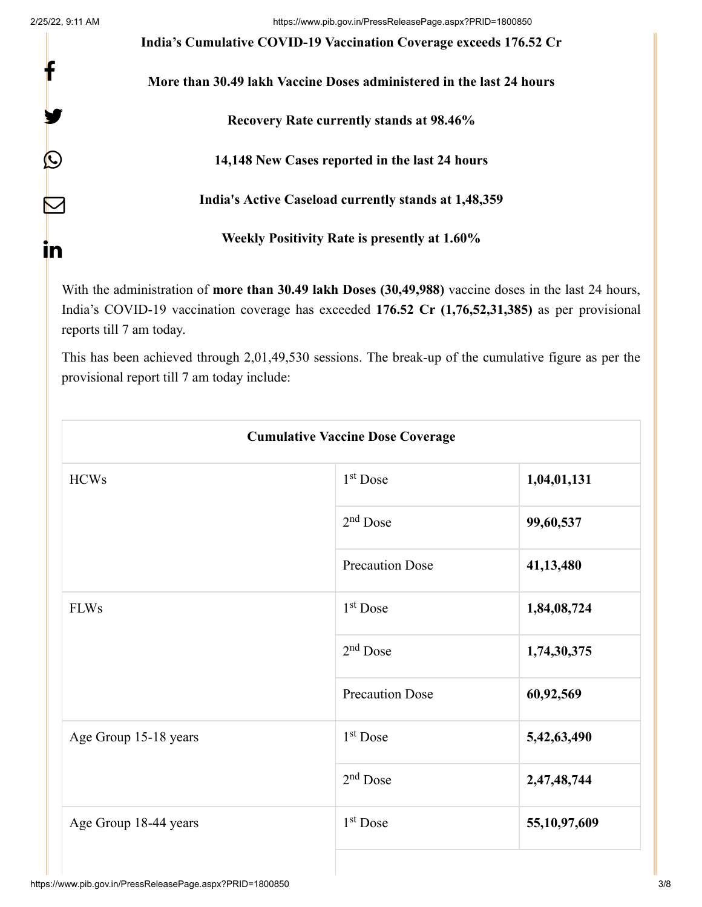f

y.

 $\bm{\mathcal{Q}}$ 

 $\bm{\nabla}$ 

in

**India's Cumulative COVID-19 Vaccination Coverage exceeds 176.52 Cr**

**More than 30.49 lakh Vaccine Doses administered in the last 24 hours**

**Recovery Rate currently stands at 98.46%**

**14,148 New Cases reported in the last 24 hours**

**India's Active Caseload currently stands at 1,48,359**

**Weekly Positivity Rate is presently at 1.60%**

With the administration of **more than 30.49 lakh Doses (30,49,988)** vaccine doses in the last 24 hours, India's COVID-19 vaccination coverage has exceeded **176.52 Cr (1,76,52,31,385)** as per provisional reports till 7 am today.

This has been achieved through 2,01,49,530 sessions. The break-up of the cumulative figure as per the provisional report till 7 am today include:

| <b>Cumulative Vaccine Dose Coverage</b> |                        |              |  |  |
|-----------------------------------------|------------------------|--------------|--|--|
| <b>HCWs</b>                             | $1st$ Dose             | 1,04,01,131  |  |  |
|                                         | $2nd$ Dose             | 99,60,537    |  |  |
|                                         | <b>Precaution Dose</b> | 41,13,480    |  |  |
| <b>FLWs</b>                             | $1st$ Dose             | 1,84,08,724  |  |  |
|                                         | $2nd$ Dose             | 1,74,30,375  |  |  |
|                                         | <b>Precaution Dose</b> | 60,92,569    |  |  |
| Age Group 15-18 years                   | $1st$ Dose             | 5,42,63,490  |  |  |
|                                         | $2nd$ Dose             | 2,47,48,744  |  |  |
| Age Group 18-44 years                   | $1st$ Dose             | 55,10,97,609 |  |  |
|                                         |                        |              |  |  |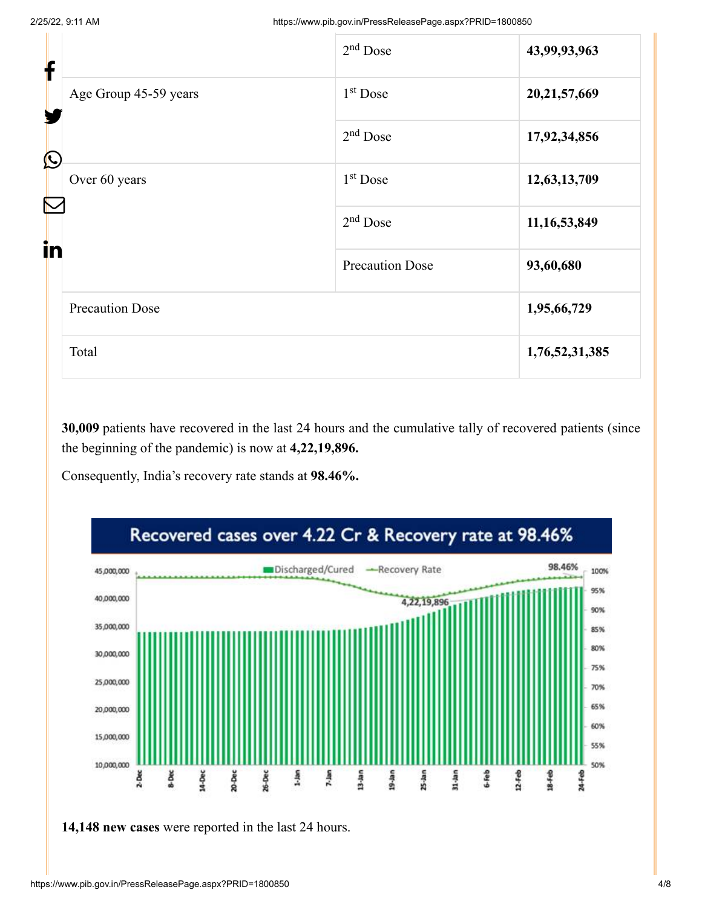| f          |                        | $2nd$ Dose             | 43,99,93,963    |
|------------|------------------------|------------------------|-----------------|
| Y          | Age Group 45-59 years  | $1st$ Dose             | 20,21,57,669    |
| $\bigcirc$ |                        | $2nd$ Dose             | 17,92,34,856    |
|            | Over 60 years          | $1st$ Dose             | 12,63,13,709    |
| in         |                        | $2nd$ Dose             | 11, 16, 53, 849 |
|            |                        | <b>Precaution Dose</b> | 93,60,680       |
|            | <b>Precaution Dose</b> |                        | 1,95,66,729     |
|            | Total                  |                        | 1,76,52,31,385  |

**30,009** patients have recovered in the last 24 hours and the cumulative tally of recovered patients (since the beginning of the pandemic) is now at **4,22,19,896.**

Consequently, India's recovery rate stands at **98.46%.**



**14,148 new cases** were reported in the last 24 hours.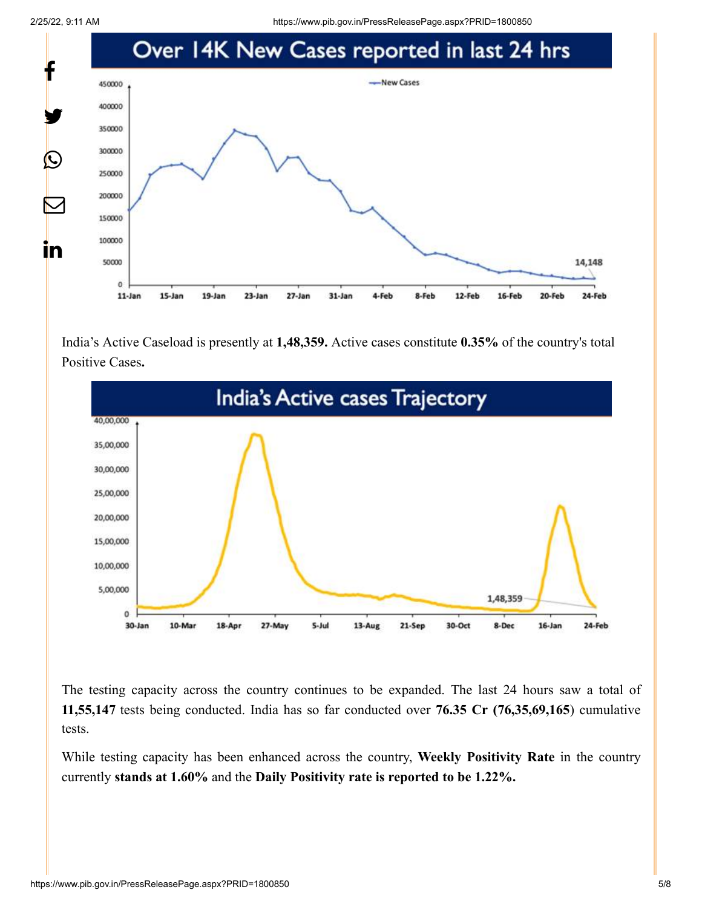2/25/22, 9:11 AM https://www.pib.gov.in/PressReleasePage.aspx?PRID=1800850



India's Active Caseload is presently at **1,48,359.** Active cases constitute **0.35%** of the country's total Positive Cases**.**



The testing capacity across the country continues to be expanded. The last 24 hours saw a total of **11,55,147** tests being conducted. India has so far conducted over **76.35 Cr (76,35,69,165**) cumulative tests.

While testing capacity has been enhanced across the country, **Weekly Positivity Rate** in the country currently **stands at 1.60%** and the **Daily Positivity rate is reported to be 1.22%.**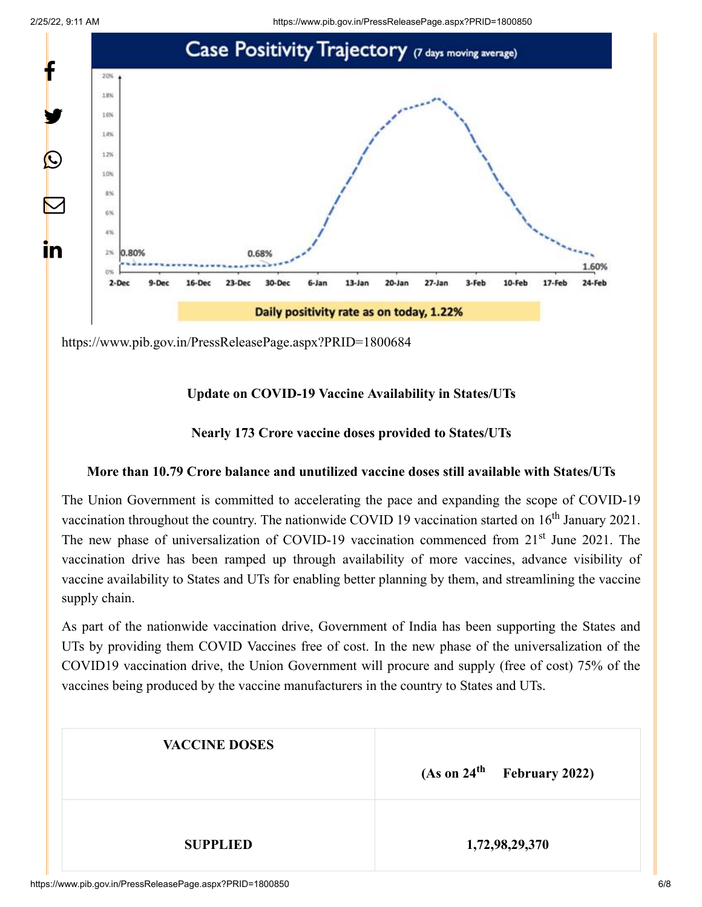2/25/22, 9:11 AM https://www.pib.gov.in/PressReleasePage.aspx?PRID=1800850



<https://www.pib.gov.in/PressReleasePage.aspx?PRID=1800684>

# **Update on COVID-19 Vaccine Availability in States/UTs**

# **Nearly 173 Crore vaccine doses provided to States/UTs**

### **More than 10.79 Crore balance and unutilized vaccine doses still available with States/UTs**

The Union Government is committed to accelerating the pace and expanding the scope of COVID-19 vaccination throughout the country. The nationwide COVID 19 vaccination started on  $16<sup>th</sup>$  January 2021. The new phase of universalization of COVID-19 vaccination commenced from 21<sup>st</sup> June 2021. The vaccination drive has been ramped up through availability of more vaccines, advance visibility of vaccine availability to States and UTs for enabling better planning by them, and streamlining the vaccine supply chain.

As part of the nationwide vaccination drive, Government of India has been supporting the States and UTs by providing them COVID Vaccines free of cost. In the new phase of the universalization of the COVID19 vaccination drive, the Union Government will procure and supply (free of cost) 75% of the vaccines being produced by the vaccine manufacturers in the country to States and UTs.

| <b>VACCINE DOSES</b> | $(As on 24th$ February 2022) |
|----------------------|------------------------------|
| <b>SUPPLIED</b>      | 1,72,98,29,370               |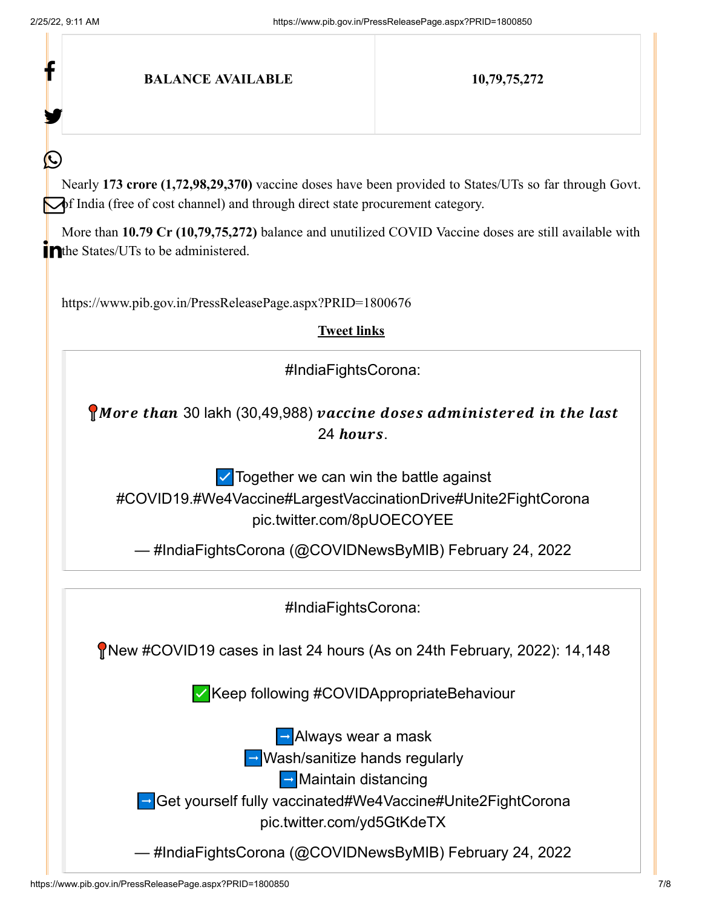| 10,79,75,272                                                                                                                                                                                                                                                                                                |
|-------------------------------------------------------------------------------------------------------------------------------------------------------------------------------------------------------------------------------------------------------------------------------------------------------------|
|                                                                                                                                                                                                                                                                                                             |
| Nearly 173 crore (1,72,98,29,370) vaccine doses have been provided to States/UTs so far through Govt.<br>$\rightarrow$ India (free of cost channel) and through direct state procurement category.<br>More than 10.79 Cr (10,79,75,272) balance and unutilized COVID Vaccine doses are still available with |
| https://www.pib.gov.in/PressReleasePage.aspx?PRID=1800676                                                                                                                                                                                                                                                   |
| <b>Tweet links</b>                                                                                                                                                                                                                                                                                          |
| #IndiaFightsCorona:                                                                                                                                                                                                                                                                                         |
| More than 30 lakh (30,49,988) vaccine doses administered in the last<br>24 hours.<br>$\triangleright$ Together we can win the battle against<br>#COVID19.#We4Vaccine#LargestVaccinationDrive#Unite2FightCorona<br>pic.twitter.com/8pUOECOYEE                                                                |
| — #IndiaFightsCorona (@COVIDNewsByMIB) February 24, 2022                                                                                                                                                                                                                                                    |
| #IndiaFightsCorona:                                                                                                                                                                                                                                                                                         |
| New #COVID19 cases in last 24 hours (As on 24th February, 2022): 14,148                                                                                                                                                                                                                                     |
| √Keep following #COVIDAppropriateBehaviour                                                                                                                                                                                                                                                                  |
| $\rightarrow$ Always wear a mask<br>$\rightarrow$ Wash/sanitize hands regularly<br><b>D</b> Maintain distancing<br>Get yourself fully vaccinated#We4Vaccine#Unite2FightCorona<br>pic.twitter.com/yd5GtKdeTX<br>#IndiaFightsCorona (@COVIDNewsByMIB) February 24, 2022                                       |
|                                                                                                                                                                                                                                                                                                             |